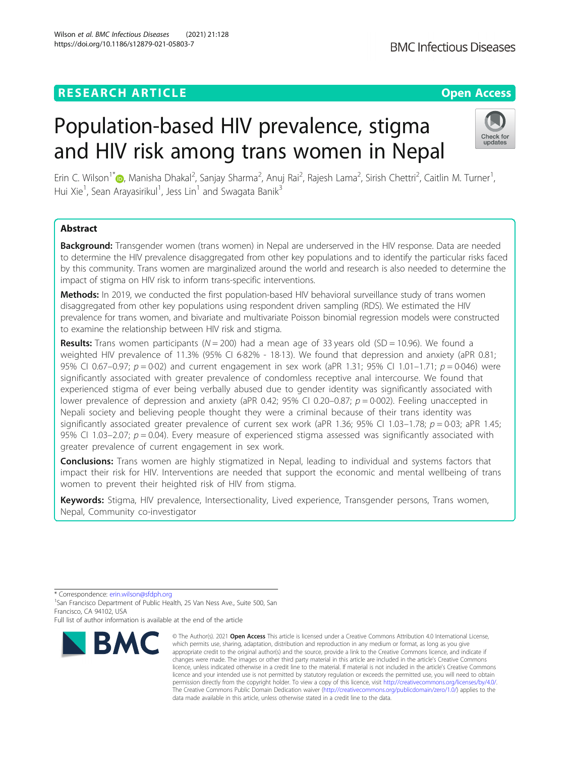# **RESEARCH ARTICLE Example 2014 12:30 The Contract of Contract ACCESS**

# Population-based HIV prevalence, stigma and HIV risk among trans women in Nepal

Erin C. Wilson<sup>1\*</sup>�[,](http://orcid.org/0000-0002-0237-495X) Manisha Dhakal<sup>2</sup>, Sanjay Sharma<sup>2</sup>, Anuj Rai<sup>2</sup>, Rajesh Lama<sup>2</sup>, Sirish Chettri<sup>2</sup>, Caitlin M. Turner<sup>1</sup> , Hui Xie<sup>1</sup>, Sean Arayasirikul<sup>1</sup>, Jess Lin<sup>1</sup> and Swagata Banik<sup>3</sup>

# Abstract

**Background:** Transgender women (trans women) in Nepal are underserved in the HIV response. Data are needed to determine the HIV prevalence disaggregated from other key populations and to identify the particular risks faced by this community. Trans women are marginalized around the world and research is also needed to determine the impact of stigma on HIV risk to inform trans-specific interventions.

Methods: In 2019, we conducted the first population-based HIV behavioral surveillance study of trans women disaggregated from other key populations using respondent driven sampling (RDS). We estimated the HIV prevalence for trans women, and bivariate and multivariate Poisson binomial regression models were constructed to examine the relationship between HIV risk and stigma.

**Results:** Trans women participants ( $N = 200$ ) had a mean age of 33 years old (SD = 10.96). We found a weighted HIV prevalence of 11.3% (95% CI 6·82% - 18·13). We found that depression and anxiety (aPR 0.81; 95% CI 0.67–0.97;  $p = 0.02$ ) and current engagement in sex work (aPR 1.31; 95% CI 1.01–1.71;  $p = 0.046$ ) were significantly associated with greater prevalence of condomless receptive anal intercourse. We found that experienced stigma of ever being verbally abused due to gender identity was significantly associated with lower prevalence of depression and anxiety (aPR 0.42; 95% CI 0.20–0.87;  $p = 0.002$ ). Feeling unaccepted in Nepali society and believing people thought they were a criminal because of their trans identity was significantly associated greater prevalence of current sex work (aPR 1.36; 95% CI 1.03–1.78;  $p = 0.03$ ; aPR 1.45; 95% CI 1.03–2.07;  $p = 0.04$ ). Every measure of experienced stigma assessed was significantly associated with greater prevalence of current engagement in sex work.

**Conclusions:** Trans women are highly stigmatized in Nepal, leading to individual and systems factors that impact their risk for HIV. Interventions are needed that support the economic and mental wellbeing of trans women to prevent their heighted risk of HIV from stigma.

Keywords: Stigma, HIV prevalence, Intersectionality, Lived experience, Transgender persons, Trans women, Nepal, Community co-investigator



<sup>©</sup> The Author(s), 2021 **Open Access** This article is licensed under a Creative Commons Attribution 4.0 International License, which permits use, sharing, adaptation, distribution and reproduction in any medium or format, as long as you give appropriate credit to the original author(s) and the source, provide a link to the Creative Commons licence, and indicate if changes were made. The images or other third party material in this article are included in the article's Creative Commons licence, unless indicated otherwise in a credit line to the material. If material is not included in the article's Creative Commons licence and your intended use is not permitted by statutory regulation or exceeds the permitted use, you will need to obtain permission directly from the copyright holder. To view a copy of this licence, visit [http://creativecommons.org/licenses/by/4.0/.](http://creativecommons.org/licenses/by/4.0/) The Creative Commons Public Domain Dedication waiver [\(http://creativecommons.org/publicdomain/zero/1.0/](http://creativecommons.org/publicdomain/zero/1.0/)) applies to the data made available in this article, unless otherwise stated in a credit line to the data.



<sup>\*</sup> Correspondence: [erin.wilson@sfdph.org](mailto:erin.wilson@sfdph.org) <sup>1</sup>

<sup>&</sup>lt;sup>1</sup>San Francisco Department of Public Health, 25 Van Ness Ave., Suite 500, San Francisco, CA 94102, USA

Full list of author information is available at the end of the article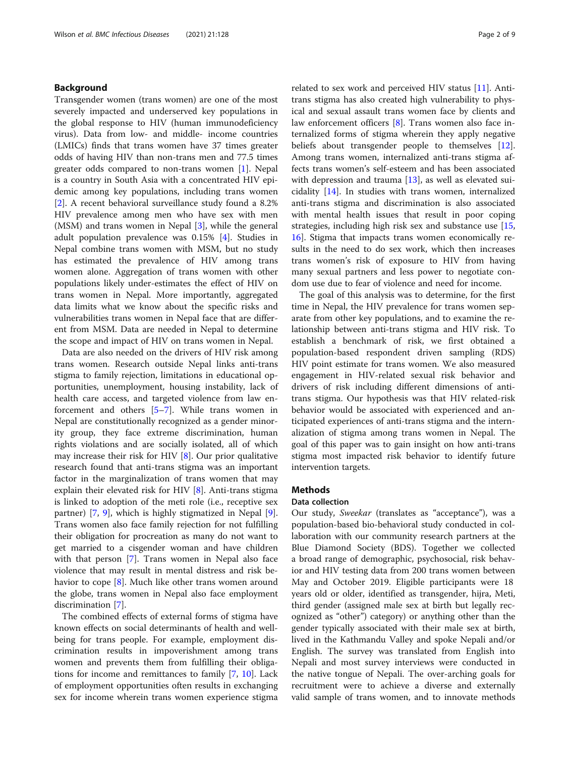# Background

Transgender women (trans women) are one of the most severely impacted and underserved key populations in the global response to HIV (human immunodeficiency virus). Data from low- and middle- income countries (LMICs) finds that trans women have 37 times greater odds of having HIV than non-trans men and 77.5 times greater odds compared to non-trans women [\[1\]](#page-8-0). Nepal is a country in South Asia with a concentrated HIV epidemic among key populations, including trans women [[2\]](#page-8-0). A recent behavioral surveillance study found a 8.2% HIV prevalence among men who have sex with men (MSM) and trans women in Nepal [\[3](#page-8-0)], while the general adult population prevalence was 0.15% [[4](#page-8-0)]. Studies in Nepal combine trans women with MSM, but no study has estimated the prevalence of HIV among trans women alone. Aggregation of trans women with other populations likely under-estimates the effect of HIV on trans women in Nepal. More importantly, aggregated data limits what we know about the specific risks and vulnerabilities trans women in Nepal face that are different from MSM. Data are needed in Nepal to determine the scope and impact of HIV on trans women in Nepal.

Data are also needed on the drivers of HIV risk among trans women. Research outside Nepal links anti-trans stigma to family rejection, limitations in educational opportunities, unemployment, housing instability, lack of health care access, and targeted violence from law enforcement and others [[5](#page-8-0)–[7\]](#page-8-0). While trans women in Nepal are constitutionally recognized as a gender minority group, they face extreme discrimination, human rights violations and are socially isolated, all of which may increase their risk for HIV  $[8]$  $[8]$ . Our prior qualitative research found that anti-trans stigma was an important factor in the marginalization of trans women that may explain their elevated risk for HIV [[8\]](#page-8-0). Anti-trans stigma is linked to adoption of the meti role (i.e., receptive sex partner) [[7,](#page-8-0) [9](#page-8-0)], which is highly stigmatized in Nepal [\[9](#page-8-0)]. Trans women also face family rejection for not fulfilling their obligation for procreation as many do not want to get married to a cisgender woman and have children with that person [\[7](#page-8-0)]. Trans women in Nepal also face violence that may result in mental distress and risk behavior to cope [\[8\]](#page-8-0). Much like other trans women around the globe, trans women in Nepal also face employment discrimination [[7\]](#page-8-0).

The combined effects of external forms of stigma have known effects on social determinants of health and wellbeing for trans people. For example, employment discrimination results in impoverishment among trans women and prevents them from fulfilling their obligations for income and remittances to family [\[7](#page-8-0), [10](#page-8-0)]. Lack of employment opportunities often results in exchanging sex for income wherein trans women experience stigma related to sex work and perceived HIV status [[11](#page-8-0)]. Antitrans stigma has also created high vulnerability to physical and sexual assault trans women face by clients and law enforcement officers [\[8](#page-8-0)]. Trans women also face internalized forms of stigma wherein they apply negative beliefs about transgender people to themselves [\[12](#page-8-0)]. Among trans women, internalized anti-trans stigma affects trans women's self-esteem and has been associated with depression and trauma [\[13](#page-8-0)], as well as elevated suicidality [[14](#page-8-0)]. In studies with trans women, internalized anti-trans stigma and discrimination is also associated with mental health issues that result in poor coping strategies, including high risk sex and substance use [[15](#page-8-0), [16\]](#page-8-0). Stigma that impacts trans women economically results in the need to do sex work, which then increases trans women's risk of exposure to HIV from having many sexual partners and less power to negotiate condom use due to fear of violence and need for income.

The goal of this analysis was to determine, for the first time in Nepal, the HIV prevalence for trans women separate from other key populations, and to examine the relationship between anti-trans stigma and HIV risk. To establish a benchmark of risk, we first obtained a population-based respondent driven sampling (RDS) HIV point estimate for trans women. We also measured engagement in HIV-related sexual risk behavior and drivers of risk including different dimensions of antitrans stigma. Our hypothesis was that HIV related-risk behavior would be associated with experienced and anticipated experiences of anti-trans stigma and the internalization of stigma among trans women in Nepal. The goal of this paper was to gain insight on how anti-trans stigma most impacted risk behavior to identify future intervention targets.

# **Methods**

#### Data collection

Our study, Sweekar (translates as "acceptance"), was a population-based bio-behavioral study conducted in collaboration with our community research partners at the Blue Diamond Society (BDS). Together we collected a broad range of demographic, psychosocial, risk behavior and HIV testing data from 200 trans women between May and October 2019. Eligible participants were 18 years old or older, identified as transgender, hijra, Meti, third gender (assigned male sex at birth but legally recognized as "other") category) or anything other than the gender typically associated with their male sex at birth, lived in the Kathmandu Valley and spoke Nepali and/or English. The survey was translated from English into Nepali and most survey interviews were conducted in the native tongue of Nepali. The over-arching goals for recruitment were to achieve a diverse and externally valid sample of trans women, and to innovate methods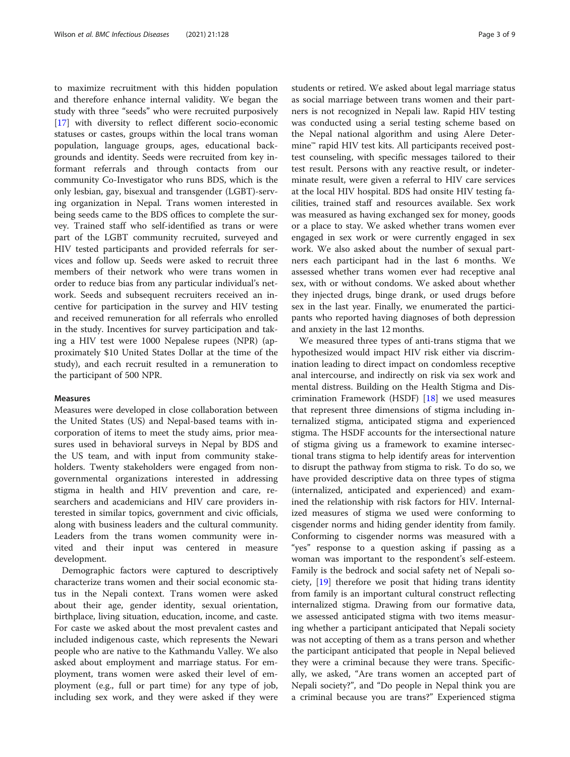to maximize recruitment with this hidden population and therefore enhance internal validity. We began the study with three "seeds" who were recruited purposively [[17\]](#page-8-0) with diversity to reflect different socio-economic statuses or castes, groups within the local trans woman population, language groups, ages, educational backgrounds and identity. Seeds were recruited from key informant referrals and through contacts from our community Co-Investigator who runs BDS, which is the only lesbian, gay, bisexual and transgender (LGBT)-serving organization in Nepal. Trans women interested in being seeds came to the BDS offices to complete the survey. Trained staff who self-identified as trans or were part of the LGBT community recruited, surveyed and HIV tested participants and provided referrals for services and follow up. Seeds were asked to recruit three members of their network who were trans women in order to reduce bias from any particular individual's network. Seeds and subsequent recruiters received an incentive for participation in the survey and HIV testing and received remuneration for all referrals who enrolled in the study. Incentives for survey participation and taking a HIV test were 1000 Nepalese rupees (NPR) (approximately \$10 United States Dollar at the time of the study), and each recruit resulted in a remuneration to the participant of 500 NPR.

#### Measures

Measures were developed in close collaboration between the United States (US) and Nepal-based teams with incorporation of items to meet the study aims, prior measures used in behavioral surveys in Nepal by BDS and the US team, and with input from community stakeholders. Twenty stakeholders were engaged from nongovernmental organizations interested in addressing stigma in health and HIV prevention and care, researchers and academicians and HIV care providers interested in similar topics, government and civic officials, along with business leaders and the cultural community. Leaders from the trans women community were invited and their input was centered in measure development.

Demographic factors were captured to descriptively characterize trans women and their social economic status in the Nepali context. Trans women were asked about their age, gender identity, sexual orientation, birthplace, living situation, education, income, and caste. For caste we asked about the most prevalent castes and included indigenous caste, which represents the Newari people who are native to the Kathmandu Valley. We also asked about employment and marriage status. For employment, trans women were asked their level of employment (e.g., full or part time) for any type of job, including sex work, and they were asked if they were students or retired. We asked about legal marriage status as social marriage between trans women and their partners is not recognized in Nepali law. Rapid HIV testing was conducted using a serial testing scheme based on the Nepal national algorithm and using Alere Determine™ rapid HIV test kits. All participants received posttest counseling, with specific messages tailored to their test result. Persons with any reactive result, or indeterminate result, were given a referral to HIV care services at the local HIV hospital. BDS had onsite HIV testing facilities, trained staff and resources available. Sex work was measured as having exchanged sex for money, goods or a place to stay. We asked whether trans women ever engaged in sex work or were currently engaged in sex work. We also asked about the number of sexual partners each participant had in the last 6 months. We assessed whether trans women ever had receptive anal sex, with or without condoms. We asked about whether they injected drugs, binge drank, or used drugs before sex in the last year. Finally, we enumerated the participants who reported having diagnoses of both depression and anxiety in the last 12 months.

We measured three types of anti-trans stigma that we hypothesized would impact HIV risk either via discrimination leading to direct impact on condomless receptive anal intercourse, and indirectly on risk via sex work and mental distress. Building on the Health Stigma and Discrimination Framework (HSDF) [\[18](#page-8-0)] we used measures that represent three dimensions of stigma including internalized stigma, anticipated stigma and experienced stigma. The HSDF accounts for the intersectional nature of stigma giving us a framework to examine intersectional trans stigma to help identify areas for intervention to disrupt the pathway from stigma to risk. To do so, we have provided descriptive data on three types of stigma (internalized, anticipated and experienced) and examined the relationship with risk factors for HIV. Internalized measures of stigma we used were conforming to cisgender norms and hiding gender identity from family. Conforming to cisgender norms was measured with a "yes" response to a question asking if passing as a woman was important to the respondent's self-esteem. Family is the bedrock and social safety net of Nepali society, [\[19](#page-8-0)] therefore we posit that hiding trans identity from family is an important cultural construct reflecting internalized stigma. Drawing from our formative data, we assessed anticipated stigma with two items measuring whether a participant anticipated that Nepali society was not accepting of them as a trans person and whether the participant anticipated that people in Nepal believed they were a criminal because they were trans. Specifically, we asked, "Are trans women an accepted part of Nepali society?", and "Do people in Nepal think you are a criminal because you are trans?" Experienced stigma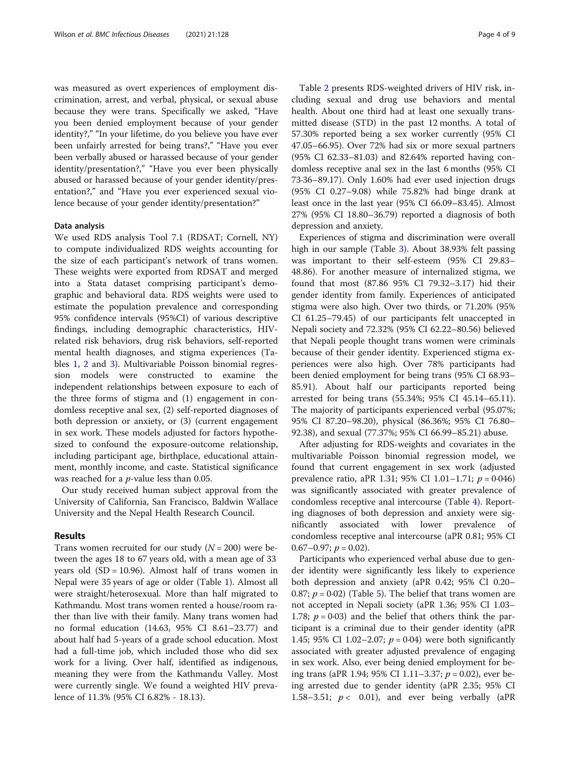was measured as overt experiences of employment discrimination, arrest, and verbal, physical, or sexual abuse because they were trans. Specifically we asked, "Have you been denied employment because of your gender identity?," "In your lifetime, do you believe you have ever been unfairly arrested for being trans?," "Have you ever been verbally abused or harassed because of your gender identity/presentation?," "Have you ever been physically abused or harassed because of your gender identity/presentation?," and "Have you ever experienced sexual violence because of your gender identity/presentation?"

#### Data analysis

We used RDS analysis Tool 7.1 (RDSAT; Cornell, NY) to compute individualized RDS weights accounting for the size of each participant's network of trans women. These weights were exported from RDSAT and merged into a Stata dataset comprising participant's demographic and behavioral data. RDS weights were used to estimate the population prevalence and corresponding 95% confidence intervals (95%CI) of various descriptive findings, including demographic characteristics, HIVrelated risk behaviors, drug risk behaviors, self-reported mental health diagnoses, and stigma experiences (Tables [1](#page-4-0), [2](#page-5-0) and [3\)](#page-6-0). Multivariable Poisson binomial regression models were constructed to examine the independent relationships between exposure to each of the three forms of stigma and (1) engagement in condomless receptive anal sex, (2) self-reported diagnoses of both depression or anxiety, or (3) (current engagement in sex work. These models adjusted for factors hypothesized to confound the exposure-outcome relationship, including participant age, birthplace, educational attainment, monthly income, and caste. Statistical significance was reached for a *p*-value less than 0.05.

Our study received human subject approval from the University of California, San Francisco, Baldwin Wallace University and the Nepal Health Research Council.

## Results

Trans women recruited for our study  $(N = 200)$  were between the ages 18 to 67 years old, with a mean age of 33 years old  $(SD = 10.96)$ . Almost half of trans women in Nepal were 35 years of age or older (Table [1\)](#page-4-0). Almost all were straight/heterosexual. More than half migrated to Kathmandu. Most trans women rented a house/room rather than live with their family. Many trans women had no formal education (14.63, 95% CI 8.61–23.77) and about half had 5-years of a grade school education. Most had a full-time job, which included those who did sex work for a living. Over half, identified as indigenous, meaning they were from the Kathmandu Valley. Most were currently single. We found a weighted HIV prevalence of 11.3% (95% CI 6.82% - 18.13).

Table [2](#page-5-0) presents RDS-weighted drivers of HIV risk, including sexual and drug use behaviors and mental health. About one third had at least one sexually transmitted disease (STD) in the past 12 months. A total of 57.30% reported being a sex worker currently (95% CI 47.05–66.95). Over 72% had six or more sexual partners (95% CI 62.33–81.03) and 82.64% reported having condomless receptive anal sex in the last 6 months (95% CI 73·36–89.17). Only 1.60% had ever used injection drugs (95% CI 0.27–9.08) while 75.82% had binge drank at least once in the last year (95% CI 66.09–83.45). Almost 27% (95% CI 18.80–36.79) reported a diagnosis of both depression and anxiety.

Experiences of stigma and discrimination were overall high in our sample (Table [3\)](#page-6-0). About 38.93% felt passing was important to their self-esteem (95% CI 29.83– 48.86). For another measure of internalized stigma, we found that most (87.86 95% CI 79.32–3.17) hid their gender identity from family. Experiences of anticipated stigma were also high. Over two thirds, or 71.20% (95% CI 61.25–79.45) of our participants felt unaccepted in Nepali society and 72.32% (95% CI 62.22–80.56) believed that Nepali people thought trans women were criminals because of their gender identity. Experienced stigma experiences were also high. Over 78% participants had been denied employment for being trans (95% CI 68.93– 85.91). About half our participants reported being arrested for being trans (55.34%; 95% CI 45.14–65.11). The majority of participants experienced verbal (95.07%; 95% CI 87.20–98.20), physical (86.36%; 95% CI 76.80– 92.38), and sexual (77.37%; 95% CI 66.99–85.21) abuse.

After adjusting for RDS-weights and covariates in the multivariable Poisson binomial regression model, we found that current engagement in sex work (adjusted prevalence ratio, aPR 1.31; 95% CI 1.01-1.71;  $p = 0.046$ ) was significantly associated with greater prevalence of condomless receptive anal intercourse (Table [4\)](#page-6-0). Reporting diagnoses of both depression and anxiety were significantly associated with lower prevalence of condomless receptive anal intercourse (aPR 0.81; 95% CI  $0.67-0.97; p = 0.02$ ).

Participants who experienced verbal abuse due to gender identity were significantly less likely to experience both depression and anxiety (aPR 0.42; 95% CI 0.20– 0.87;  $p = 0.02$ ) (Table [5](#page-7-0)). The belief that trans women are not accepted in Nepali society (aPR 1.36; 95% CI 1.03– 1.78;  $p = 0.03$ ) and the belief that others think the participant is a criminal due to their gender identity (aPR 1.45; 95% CI 1.02–2.07;  $p = 0.04$ ) were both significantly associated with greater adjusted prevalence of engaging in sex work. Also, ever being denied employment for being trans (aPR 1.94; 95% CI 1.11–3.37;  $p = 0.02$ ), ever being arrested due to gender identity (aPR 2.35; 95% CI 1.58–3.51;  $p < 0.01$ ), and ever being verbally (aPR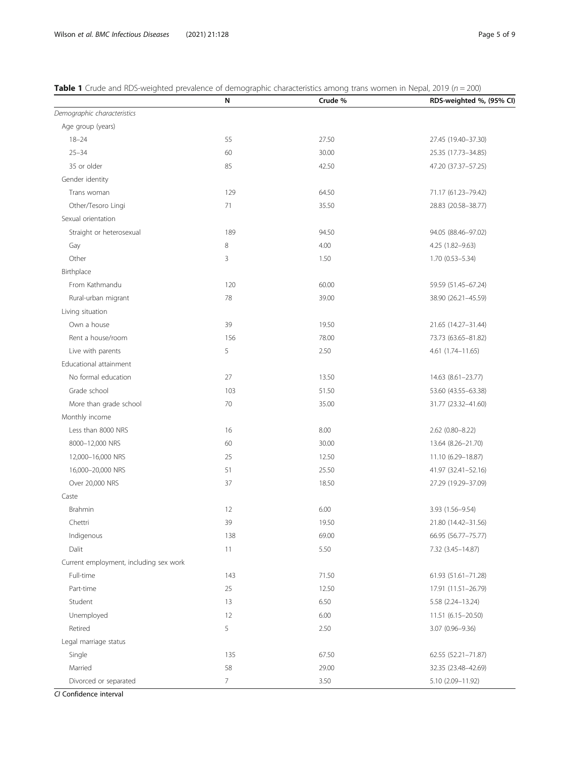|                                        | Ν              | Crude % | RDS-weighted %, (95% CI) |
|----------------------------------------|----------------|---------|--------------------------|
| Demographic characteristics            |                |         |                          |
| Age group (years)                      |                |         |                          |
| $18 - 24$                              | 55             | 27.50   | 27.45 (19.40-37.30)      |
| $25 - 34$                              | 60             | 30.00   | 25.35 (17.73-34.85)      |
| 35 or older                            | 85             | 42.50   | 47.20 (37.37-57.25)      |
| Gender identity                        |                |         |                          |
| Trans woman                            | 129            | 64.50   | 71.17 (61.23-79.42)      |
| Other/Tesoro Lingi                     | 71             | 35.50   | 28.83 (20.58-38.77)      |
| Sexual orientation                     |                |         |                          |
| Straight or heterosexual               | 189            | 94.50   | 94.05 (88.46-97.02)      |
| Gay                                    | $\,8\,$        | 4.00    | 4.25 (1.82-9.63)         |
| Other                                  | $\mathbf{3}$   | 1.50    | $1.70(0.53 - 5.34)$      |
| Birthplace                             |                |         |                          |
| From Kathmandu                         | 120            | 60.00   | 59.59 (51.45-67.24)      |
| Rural-urban migrant                    | 78             | 39.00   | 38.90 (26.21-45.59)      |
| Living situation                       |                |         |                          |
| Own a house                            | 39             | 19.50   | 21.65 (14.27-31.44)      |
| Rent a house/room                      | 156            | 78.00   | 73.73 (63.65-81.82)      |
| Live with parents                      | 5              | 2.50    | $4.61(1.74 - 11.65)$     |
| Educational attainment                 |                |         |                          |
| No formal education                    | 27             | 13.50   | 14.63 (8.61-23.77)       |
| Grade school                           | 103            | 51.50   | 53.60 (43.55-63.38)      |
| More than grade school                 | 70             | 35.00   | 31.77 (23.32-41.60)      |
| Monthly income                         |                |         |                          |
| Less than 8000 NRS                     | 16             | 8.00    | 2.62 (0.80-8.22)         |
| 8000-12,000 NRS                        | 60             | 30.00   | 13.64 (8.26-21.70)       |
| 12,000-16,000 NRS                      | 25             | 12.50   | 11.10 (6.29-18.87)       |
| 16,000-20,000 NRS                      | 51             | 25.50   | 41.97 (32.41-52.16)      |
| Over 20,000 NRS                        | 37             | 18.50   | 27.29 (19.29-37.09)      |
| Caste                                  |                |         |                          |
| Brahmin                                | 12             | 6.00    | 3.93 (1.56-9.54)         |
| Chettri                                | 39             | 19.50   | 21.80 (14.42-31.56)      |
| Indigenous                             | 138            | 69.00   | 66.95 (56.77-75.77)      |
| Dalit                                  | $11$           | 5.50    | 7.32 (3.45-14.87)        |
| Current employment, including sex work |                |         |                          |
| Full-time                              | 143            | 71.50   | 61.93 (51.61-71.28)      |
| Part-time                              | 25             | 12.50   | 17.91 (11.51-26.79)      |
| Student                                | 13             | 6.50    | 5.58 (2.24-13.24)        |
| Unemployed                             | 12             | 6.00    | 11.51 (6.15-20.50)       |
| Retired                                | 5              | 2.50    | 3.07 (0.96-9.36)         |
| Legal marriage status                  |                |         |                          |
| Single                                 | 135            | 67.50   | 62.55 (52.21-71.87)      |
| Married                                | 58             | 29.00   | 32.35 (23.48-42.69)      |
| Divorced or separated                  | $\overline{7}$ | 3.50    | 5.10 (2.09-11.92)        |

<span id="page-4-0"></span>**Table 1** Crude and RDS-weighted prevalence of demographic characteristics among trans women in Nepal, 2019 ( $n = 200$ )

CI Confidence interval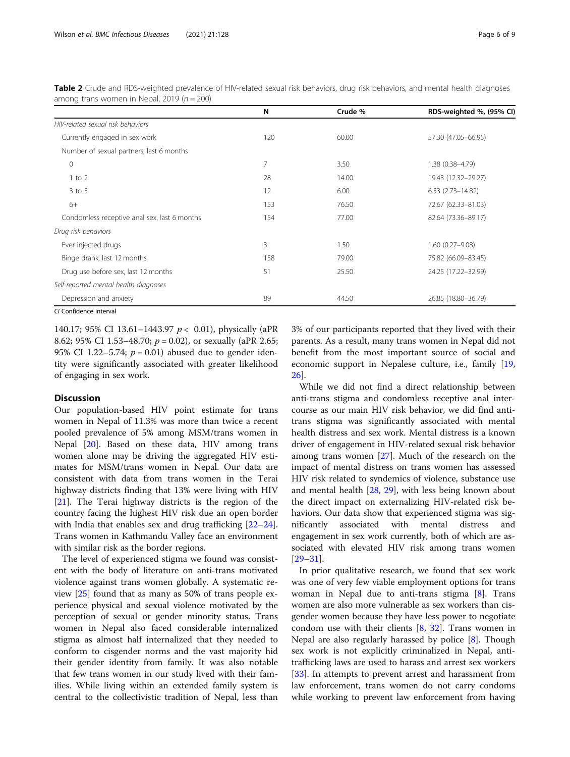|                                              | N   | Crude % | RDS-weighted %, (95% CI) |
|----------------------------------------------|-----|---------|--------------------------|
| HIV-related sexual risk behaviors            |     |         |                          |
| Currently engaged in sex work                | 120 | 60.00   | 57.30 (47.05-66.95)      |
| Number of sexual partners, last 6 months     |     |         |                          |
| $\mathbf 0$                                  | 7   | 3.50    | 1.38 (0.38-4.79)         |
| $1$ to $2$                                   | 28  | 14.00   | 19.43 (12.32-29.27)      |
| $3$ to 5                                     | 12  | 6.00    | $6.53$ $(2.73 - 14.82)$  |
| $6+$                                         | 153 | 76.50   | 72.67 (62.33-81.03)      |
| Condomless receptive anal sex, last 6 months | 154 | 77.00   | 82.64 (73.36-89.17)      |
| Drug risk behaviors                          |     |         |                          |
| Ever injected drugs                          | 3   | 1.50    | $1.60(0.27 - 9.08)$      |
| Binge drank, last 12 months                  | 158 | 79.00   | 75.82 (66.09-83.45)      |
| Drug use before sex, last 12 months          | 51  | 25.50   | 24.25 (17.22-32.99)      |
| Self-reported mental health diagnoses        |     |         |                          |
| Depression and anxiety                       | 89  | 44.50   | 26.85 (18.80-36.79)      |
|                                              |     |         |                          |

<span id="page-5-0"></span>Table 2 Crude and RDS-weighted prevalence of HIV-related sexual risk behaviors, drug risk behaviors, and mental health diagnoses among trans women in Nepal, 2019 ( $n = 200$ )

CI Confidence interval

140.17; 95% CI 13.61-1443.97  $p < 0.01$ ), physically (aPR 8.62; 95% CI 1.53–48.70;  $p = 0.02$ ), or sexually (aPR 2.65; 95% CI 1.22–5.74;  $p = 0.01$ ) abused due to gender identity were significantly associated with greater likelihood of engaging in sex work.

## **Discussion**

Our population-based HIV point estimate for trans women in Nepal of 11.3% was more than twice a recent pooled prevalence of 5% among MSM/trans women in Nepal [\[20](#page-8-0)]. Based on these data, HIV among trans women alone may be driving the aggregated HIV estimates for MSM/trans women in Nepal. Our data are consistent with data from trans women in the Terai highway districts finding that 13% were living with HIV [[21\]](#page-8-0). The Terai highway districts is the region of the country facing the highest HIV risk due an open border with India that enables sex and drug trafficking [[22](#page-8-0)–[24](#page-8-0)]. Trans women in Kathmandu Valley face an environment with similar risk as the border regions.

The level of experienced stigma we found was consistent with the body of literature on anti-trans motivated violence against trans women globally. A systematic review [\[25](#page-8-0)] found that as many as 50% of trans people experience physical and sexual violence motivated by the perception of sexual or gender minority status. Trans women in Nepal also faced considerable internalized stigma as almost half internalized that they needed to conform to cisgender norms and the vast majority hid their gender identity from family. It was also notable that few trans women in our study lived with their families. While living within an extended family system is central to the collectivistic tradition of Nepal, less than 3% of our participants reported that they lived with their parents. As a result, many trans women in Nepal did not benefit from the most important source of social and economic support in Nepalese culture, i.e., family [[19](#page-8-0), [26\]](#page-8-0).

While we did not find a direct relationship between anti-trans stigma and condomless receptive anal intercourse as our main HIV risk behavior, we did find antitrans stigma was significantly associated with mental health distress and sex work. Mental distress is a known driver of engagement in HIV-related sexual risk behavior among trans women [[27\]](#page-8-0). Much of the research on the impact of mental distress on trans women has assessed HIV risk related to syndemics of violence, substance use and mental health [\[28,](#page-8-0) [29](#page-8-0)], with less being known about the direct impact on externalizing HIV-related risk behaviors. Our data show that experienced stigma was significantly associated with mental distress and engagement in sex work currently, both of which are associated with elevated HIV risk among trans women [[29](#page-8-0)–[31](#page-8-0)].

In prior qualitative research, we found that sex work was one of very few viable employment options for trans woman in Nepal due to anti-trans stigma [[8\]](#page-8-0). Trans women are also more vulnerable as sex workers than cisgender women because they have less power to negotiate condom use with their clients  $[8, 32]$  $[8, 32]$  $[8, 32]$  $[8, 32]$ . Trans women in Nepal are also regularly harassed by police [\[8](#page-8-0)]. Though sex work is not explicitly criminalized in Nepal, antitrafficking laws are used to harass and arrest sex workers [[33\]](#page-8-0). In attempts to prevent arrest and harassment from law enforcement, trans women do not carry condoms while working to prevent law enforcement from having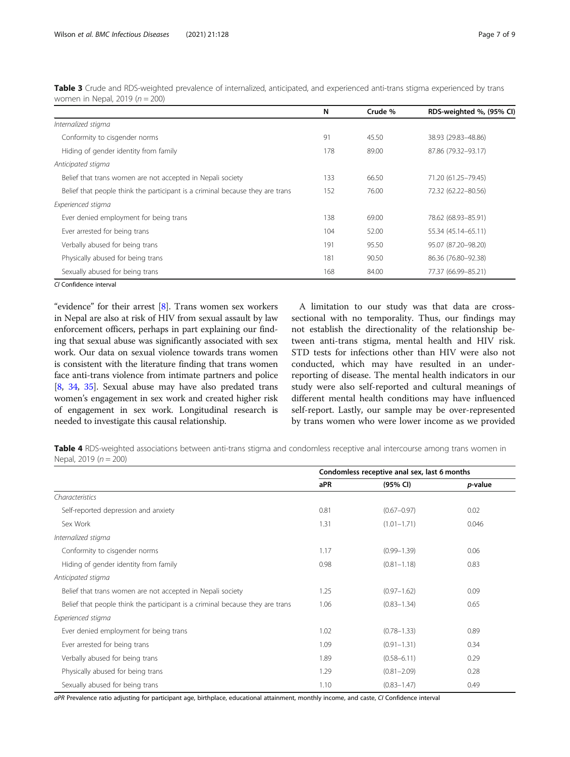CI Confidence interval

"evidence" for their arrest  $[8]$  $[8]$ . Trans women sex workers in Nepal are also at risk of HIV from sexual assault by law enforcement officers, perhaps in part explaining our finding that sexual abuse was significantly associated with sex work. Our data on sexual violence towards trans women is consistent with the literature finding that trans women face anti-trans violence from intimate partners and police [[8,](#page-8-0) [34](#page-8-0), [35\]](#page-8-0). Sexual abuse may have also predated trans women's engagement in sex work and created higher risk of engagement in sex work. Longitudinal research is needed to investigate this causal relationship.

A limitation to our study was that data are crosssectional with no temporality. Thus, our findings may not establish the directionality of the relationship between anti-trans stigma, mental health and HIV risk. STD tests for infections other than HIV were also not conducted, which may have resulted in an underreporting of disease. The mental health indicators in our study were also self-reported and cultural meanings of different mental health conditions may have influenced self-report. Lastly, our sample may be over-represented by trans women who were lower income as we provided

Table 4 RDS-weighted associations between anti-trans stigma and condomless receptive anal intercourse among trans women in Nepal, 2019 ( $n = 200$ )

|                                                                               | Condomless receptive anal sex, last 6 months |                 |                 |
|-------------------------------------------------------------------------------|----------------------------------------------|-----------------|-----------------|
|                                                                               | aPR                                          | (95% CI)        | <i>p</i> -value |
| Characteristics                                                               |                                              |                 |                 |
| Self-reported depression and anxiety                                          | 0.81                                         | $(0.67 - 0.97)$ | 0.02            |
| Sex Work                                                                      | 1.31                                         | $(1.01 - 1.71)$ | 0.046           |
| Internalized stigma                                                           |                                              |                 |                 |
| Conformity to cisgender norms                                                 | 1.17                                         | $(0.99 - 1.39)$ | 0.06            |
| Hiding of gender identity from family                                         | 0.98                                         | $(0.81 - 1.18)$ | 0.83            |
| Anticipated stigma                                                            |                                              |                 |                 |
| Belief that trans women are not accepted in Nepali society                    | 1.25                                         | $(0.97 - 1.62)$ | 0.09            |
| Belief that people think the participant is a criminal because they are trans | 1.06                                         | $(0.83 - 1.34)$ | 0.65            |
| Experienced stigma                                                            |                                              |                 |                 |
| Ever denied employment for being trans                                        | 1.02                                         | $(0.78 - 1.33)$ | 0.89            |
| Ever arrested for being trans                                                 | 1.09                                         | $(0.91 - 1.31)$ | 0.34            |
| Verbally abused for being trans                                               | 1.89                                         | $(0.58 - 6.11)$ | 0.29            |
| Physically abused for being trans                                             | 1.29                                         | $(0.81 - 2.09)$ | 0.28            |
| Sexually abused for being trans                                               | 1.10                                         | $(0.83 - 1.47)$ | 0.49            |

aPR Prevalence ratio adjusting for participant age, birthplace, educational attainment, monthly income, and caste, CI Confidence interval

<span id="page-6-0"></span>

|                                                                               | N   | Crude % | RDS-weighted %, (95% CI) |
|-------------------------------------------------------------------------------|-----|---------|--------------------------|
| Internalized stigma                                                           |     |         |                          |
| Conformity to cisgender norms                                                 | 91  | 45.50   | 38.93 (29.83-48.86)      |
| Hiding of gender identity from family                                         | 178 | 89.00   | 87.86 (79.32-93.17)      |
| Anticipated stigma                                                            |     |         |                          |
| Belief that trans women are not accepted in Nepali society                    | 133 | 66.50   | 71.20 (61.25-79.45)      |
| Belief that people think the participant is a criminal because they are trans | 152 | 76.00   | 72.32 (62.22-80.56)      |
| Experienced stigma                                                            |     |         |                          |
| Ever denied employment for being trans                                        | 138 | 69.00   | 78.62 (68.93-85.91)      |
| Ever arrested for being trans                                                 | 104 | 52.00   | 55.34 (45.14-65.11)      |
| Verbally abused for being trans                                               | 191 | 95.50   | 95.07 (87.20-98.20)      |
| Physically abused for being trans                                             | 181 | 90.50   | 86.36 (76.80-92.38)      |
| Sexually abused for being trans                                               | 168 | 84.00   | 77.37 (66.99-85.21)      |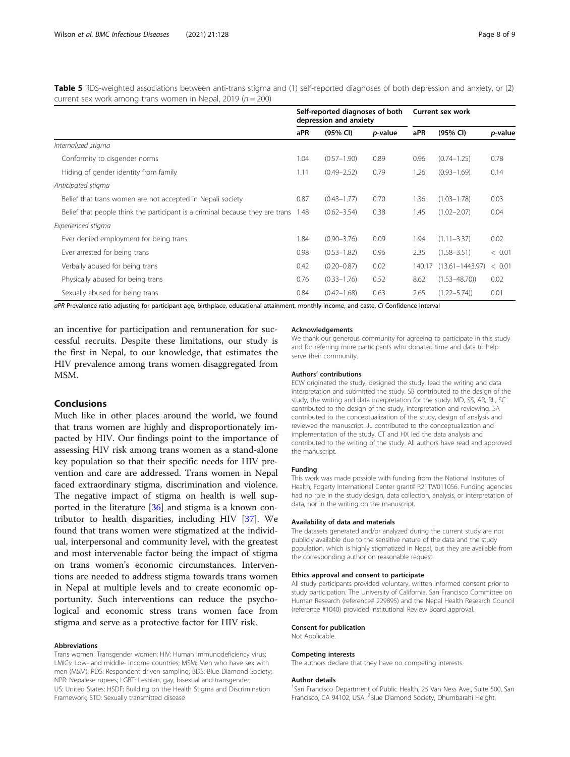<span id="page-7-0"></span>Table 5 RDS-weighted associations between anti-trans stigma and (1) self-reported diagnoses of both depression and anxiety, or (2) current sex work among trans women in Nepal, 2019 ( $n = 200$ )

|                                                                               | Self-reported diagnoses of both<br>depression and anxiety |                 |                 | Current sex work |                     |         |
|-------------------------------------------------------------------------------|-----------------------------------------------------------|-----------------|-----------------|------------------|---------------------|---------|
|                                                                               | aPR                                                       | (95% CI)        | <i>p</i> -value | aPR              | (95% CI)            | p-value |
| Internalized stigma                                                           |                                                           |                 |                 |                  |                     |         |
| Conformity to cisgender norms                                                 | 1.04                                                      | $(0.57 - 1.90)$ | 0.89            | 0.96             | $(0.74 - 1.25)$     | 0.78    |
| Hiding of gender identity from family                                         | 1.11                                                      | $(0.49 - 2.52)$ | 0.79            | 1.26             | $(0.93 - 1.69)$     | 0.14    |
| Anticipated stigma                                                            |                                                           |                 |                 |                  |                     |         |
| Belief that trans women are not accepted in Nepali society                    | 0.87                                                      | $(0.43 - 1.77)$ | 0.70            | 1.36             | $(1.03 - 1.78)$     | 0.03    |
| Belief that people think the participant is a criminal because they are trans | 1.48                                                      | $(0.62 - 3.54)$ | 0.38            | 1.45             | $(1.02 - 2.07)$     | 0.04    |
| Experienced stigma                                                            |                                                           |                 |                 |                  |                     |         |
| Ever denied employment for being trans                                        | 1.84                                                      | $(0.90 - 3.76)$ | 0.09            | 1.94             | $(1.11 - 3.37)$     | 0.02    |
| Ever arrested for being trans                                                 | 0.98                                                      | $(0.53 - 1.82)$ | 0.96            | 2.35             | $(1.58 - 3.51)$     | < 0.01  |
| Verbally abused for being trans                                               | 0.42                                                      | $(0.20 - 0.87)$ | 0.02            | 140.17           | $(13.61 - 1443.97)$ | < 0.01  |
| Physically abused for being trans                                             | 0.76                                                      | $(0.33 - 1.76)$ | 0.52            | 8.62             | $(1.53 - 48.70)$    | 0.02    |
| Sexually abused for being trans                                               | 0.84                                                      | $(0.42 - 1.68)$ | 0.63            | 2.65             | $(1.22 - 5.74)$     | 0.01    |

aPR Prevalence ratio adjusting for participant age, birthplace, educational attainment, monthly income, and caste, CI Confidence interval

an incentive for participation and remuneration for successful recruits. Despite these limitations, our study is the first in Nepal, to our knowledge, that estimates the HIV prevalence among trans women disaggregated from MSM.

# Conclusions

Much like in other places around the world, we found that trans women are highly and disproportionately impacted by HIV. Our findings point to the importance of assessing HIV risk among trans women as a stand-alone key population so that their specific needs for HIV prevention and care are addressed. Trans women in Nepal faced extraordinary stigma, discrimination and violence. The negative impact of stigma on health is well supported in the literature [\[36](#page-8-0)] and stigma is a known contributor to health disparities, including HIV [[37\]](#page-8-0). We found that trans women were stigmatized at the individual, interpersonal and community level, with the greatest and most intervenable factor being the impact of stigma on trans women's economic circumstances. Interventions are needed to address stigma towards trans women in Nepal at multiple levels and to create economic opportunity. Such interventions can reduce the psychological and economic stress trans women face from stigma and serve as a protective factor for HIV risk.

### Abbreviations

Trans women: Transgender women; HIV: Human immunodeficiency virus; LMICs: Low- and middle- income countries; MSM: Men who have sex with men (MSM); RDS: Respondent driven sampling; BDS: Blue Diamond Society; NPR: Nepalese rupees; LGBT: Lesbian, gay, bisexual and transgender; US: United States; HSDF: Building on the Health Stigma and Discrimination Framework; STD: Sexually transmitted disease

#### Acknowledgements

We thank our generous community for agreeing to participate in this study and for referring more participants who donated time and data to help serve their community.

#### Authors' contributions

ECW originated the study, designed the study, lead the writing and data interpretation and submitted the study. SB contributed to the design of the study, the writing and data interpretation for the study. MD, SS, AR, RL, SC contributed to the design of the study, interpretation and reviewing. SA contributed to the conceptualization of the study, design of analysis and reviewed the manuscript. JL contributed to the conceptualization and implementation of the study. CT and HX led the data analysis and contributed to the writing of the study. All authors have read and approved the manuscript.

#### Funding

This work was made possible with funding from the National Institutes of Health, Fogarty International Center grant# R21TW011056. Funding agencies had no role in the study design, data collection, analysis, or interpretation of data, nor in the writing on the manuscript.

#### Availability of data and materials

The datasets generated and/or analyzed during the current study are not publicly available due to the sensitive nature of the data and the study population, which is highly stigmatized in Nepal, but they are available from the corresponding author on reasonable request.

#### Ethics approval and consent to participate

All study participants provided voluntary, written informed consent prior to study participation. The University of California, San Francisco Committee on Human Research (reference# 229895) and the Nepal Health Research Council (reference #1040) provided Institutional Review Board approval.

#### Consent for publication

Not Applicable.

#### Competing interests

The authors declare that they have no competing interests.

#### Author details

<sup>1</sup>San Francisco Department of Public Health, 25 Van Ness Ave., Suite 500, San Francisco, CA 94102, USA. <sup>2</sup>Blue Diamond Society, Dhumbarahi Height